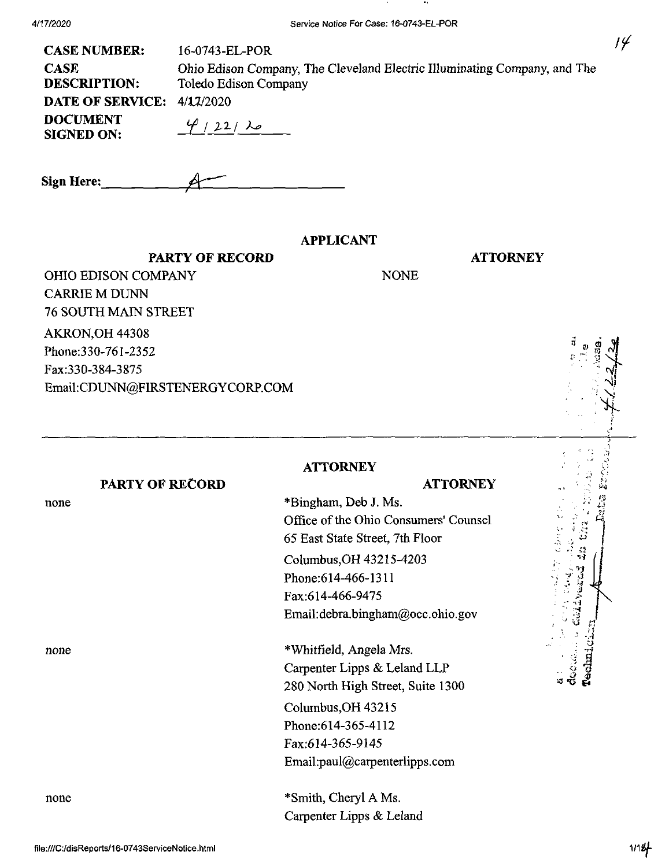4/17/2020

| 16-0743-EL-POR                                                                                     |
|----------------------------------------------------------------------------------------------------|
| Ohio Edison Company, The Cleveland Electric Illuminating Company, and The<br>Toledo Edison Company |
| <b>DATE OF SERVICE: 4/17/2020</b>                                                                  |
| $4/22/\lambda$                                                                                     |
|                                                                                                    |

| <b>Sign Here:</b> |  |
|-------------------|--|
|                   |  |

**PARTY OF RECORD**

#### **APPLICANT**

NONE

**ATTORNEY**

**ATTORNEY**

OHIO EDISON COMPANY CARRIE M DUNN 76 SOUTH MAIN STREET AKRON,OH 44308 Phone:330-761-2352 Fax:330-384-3875 Email;CDUNN@FIRSTENERGYCORP.COM

## **ATTORNEY**

\*Bingham, Deb J. Ms.

#### **PARTY OF RECORD**

none

none

none

Phone:614-466-1311 Fax:614-466-9475 Email:debra.bingham@occ.ohio.gov

65 East State Street, 7th Floor

Columbus,OH 43215-4203

Office of the Ohio Consumers' Counsel

\*Whitfield, Angela Mrs. Carpenter Lipps & Leland LLP 280 North High Street, Suite 1300 Columbus,OH 43215 Phone:614-365-4112

Fax:614-365-9145 Email:paul@carpenterlipps.com

\*Smith, Cheryl A Ms. Carpenter Lipps & Leland *. -i-i*

Liser e

*- M*

 $14$ 

**I**

**\**

**-- -1 '« r!**

**3 I**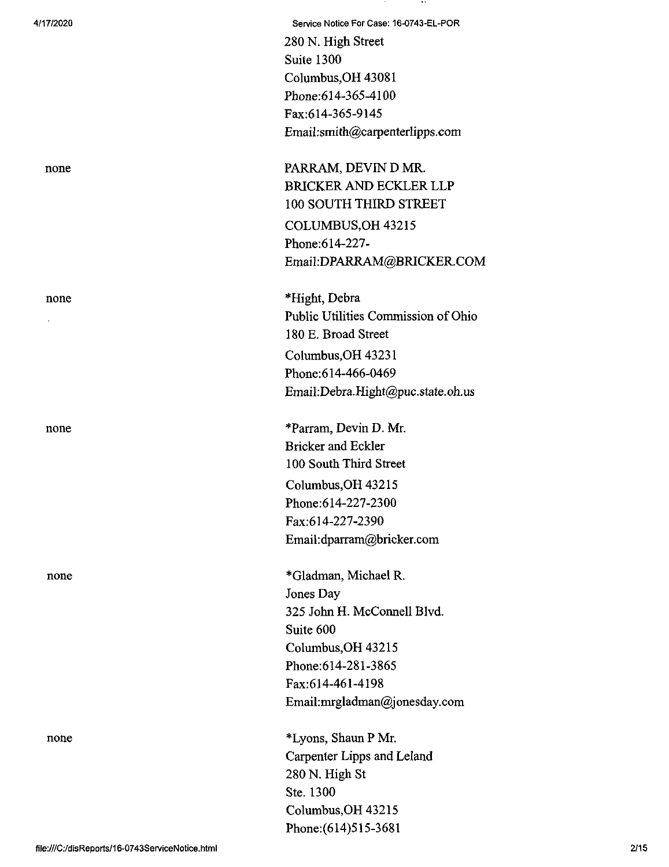**4/17/2020 Service Notice For Case: 16-0743-EL-POR** 280 N. High Street Suite 1300 Columbus,OH 43081 Phone;614-365-4100 Fax:614-365-9145 Email:smith@carpenterlipps.com

none PARRAM, DEVIN D MR. BRICKER AND ECKLER LLP 100 SOUTH THIRD STREET COLUMBUS,OH 43215 Phone:614-227- Email:DPARRAM@BRICKER.COM

none \*Hight, Debra Public Utilities Commission of Ohio 180 E. Broad Street Columbus,OH 43231 Phone:614-466-0469 Email:Debra.Hight@puc.state.oh.us

none \*Parram, Devin D. Mr. Bricker and Eckler 100 South Third Street Columbus,OH 43215 Phone:614-227-2300 Fax:614-227-2390 Email:dparram@bricker.com

none \*Gladman, Michael R. Jones Day 325 John H. McConnell Blvd. Suite 600 Columbus,OH 43215 Phone:614-281-3865 Fax:614-461-4198 Email:mrgladman@jonesday.com

none \*Lyons, Shaun P Mr. Carpenter Lipps and Leland 280 N. High St Ste. 1300 Columbus,OH 43215 Phone:(614)515-3681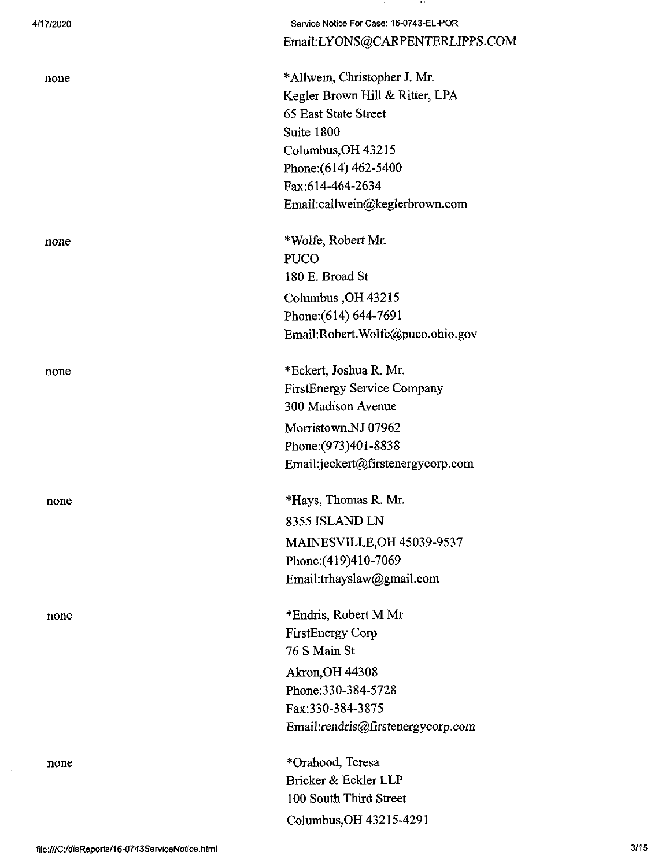| 4/17/2020 | Service Notice For Case: 16-0743-EL-POR<br>Email:LYONS@CARPENTERLIPPS.COM |
|-----------|---------------------------------------------------------------------------|
| none      | *Allwein, Christopher J. Mr.                                              |
|           | Kegler Brown Hill & Ritter, LPA                                           |
|           | 65 East State Street                                                      |
|           | Suite 1800                                                                |
|           | Columbus, OH 43215                                                        |
|           | Phone: (614) 462-5400                                                     |
|           | Fax:614-464-2634                                                          |
|           | Email:callwein@keglerbrown.com                                            |
|           |                                                                           |
| none      | *Wolfe, Robert Mr.                                                        |
|           | <b>PUCO</b>                                                               |
|           | 180 E. Broad St                                                           |
|           | Columbus, OH 43215                                                        |
|           | Phone: (614) 644-7691                                                     |
|           | Email:Robert.Wolfe@puco.ohio.gov                                          |
|           |                                                                           |
| none      | *Eckert, Joshua R. Mr.                                                    |
|           | <b>FirstEnergy Service Company</b>                                        |
|           | 300 Madison Avenue                                                        |
|           | Morristown, NJ 07962                                                      |
|           | Phone: (973)401-8838                                                      |
|           | Email:jeckert@firstenergycorp.com                                         |
|           | *Hays, Thomas R. Mr.                                                      |
| none      |                                                                           |
|           | 8355 ISLAND LN                                                            |
|           | MAINESVILLE, OH 45039-9537                                                |
|           | Phone: (419)410-7069                                                      |
|           | Email:trhayslaw@gmail.com                                                 |
| none      | *Endris, Robert M Mr                                                      |
|           | <b>FirstEnergy Corp</b>                                                   |
|           | 76 S Main St                                                              |
|           | <b>Akron, OH 44308</b>                                                    |
|           | Phone: 330-384-5728                                                       |
|           | Fax:330-384-3875                                                          |
|           | Email:rendris@firstenergycorp.com                                         |
|           |                                                                           |
| none      | *Orahood, Teresa                                                          |
|           | Bricker & Eckler LLP                                                      |
|           | 100 South Third Street                                                    |
|           | Columbus, OH 43215-4291                                                   |
|           |                                                                           |

**COL** 

 $\sim 100$ 

 $\sim$   $\sim$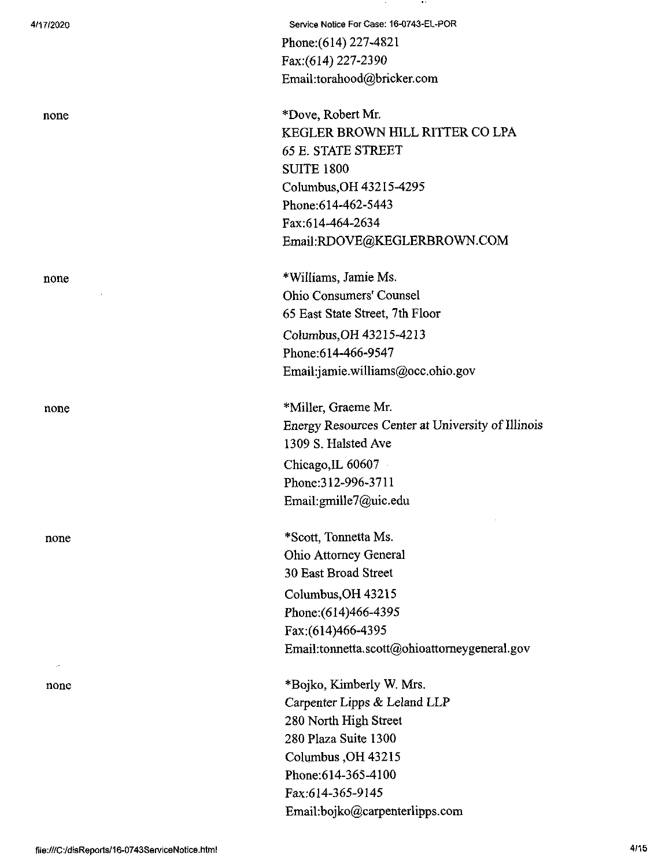| 4/17/2020                |            |  |  |
|--------------------------|------------|--|--|
| none                     |            |  |  |
| none                     | $\alpha$ . |  |  |
| none                     |            |  |  |
| none                     |            |  |  |
| $\sim$ 10 $\sim$<br>none |            |  |  |

Service Notice For Case: 16-0743-EL-POR Phone:(614) 227-4821 Fax;(614) 227-2390 Email:torahood@bricker.com \*Dove, Robert Mr. KEGLER BROWN HILL RITTER CO LPA 65 E. STATE STREET SUITE 1800 Columbus,OH 43215-4295 Phone:614-462-5443 Fax:614-464-2634 Email:RDOVE@KEGLERBROWN.COM \*Williams, Jamie Ms. Ohio Consumers' Counsel 65 East State Street, 7th Floor Columbus,OH 43215-4213 Phone:614-466-9547 Email:jamie.williams@occ.ohio.gov

\*Miller, Graeme Mr. Energy Resources Center at University of Illinois 1309 S. Halsted Ave Chicago,IL 60607 Phone:312-996-3711 Email:gmille7@uic.edu

\*Scott, Tonnetta Ms. Ohio Attorney General 30 East Broad Street Columbus,OH 43215 Phone:(614)466-4395 Fax:(614)466-4395 Email:tonnetta.scott@ohioattomeygeneral.gov

\*Bojko, Kimberly W. Mrs. Carpenter Lipps & Leland LLP 280 North High Street 280 Plaza Suite 1300 Columbus ,OH 43215 Phone:614-365-4100 Fax:614-365-9145 Email:bojko@carpenterlipps.com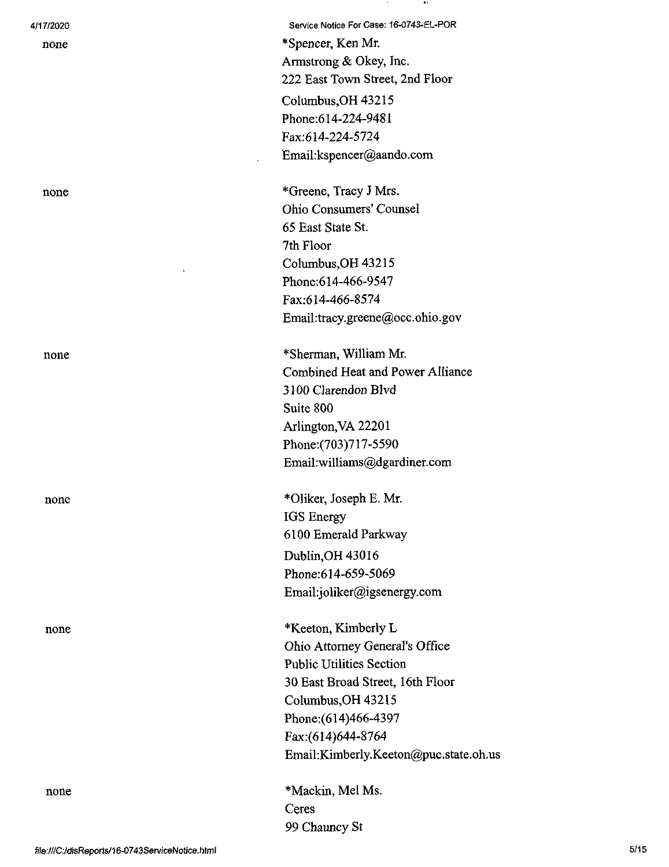| 4/17/2020 | Service Notice For Case: 16-0743-EL-POR |
|-----------|-----------------------------------------|
| none      | *Spencer, Ken Mr.                       |
|           | Armstrong & Okey, Inc.                  |
|           | 222 East Town Street, 2nd Floor         |
|           | Columbus, OH 43215                      |
|           | Phone:614-224-9481                      |
|           | Fax:614-224-5724                        |
|           | Email:kspencer@aando.com                |
|           | *Greene, Tracy J Mrs.                   |
| none      | Ohio Consumers' Counsel                 |
|           | 65 East State St.                       |
|           | 7th Floor                               |
|           | Columbus, OH 43215                      |
|           | Phone: 614-466-9547                     |
|           | Fax:614-466-8574                        |
|           | Email:tracy.greene@occ.ohio.gov         |
|           |                                         |
| none      | *Sherman, William Mr.                   |
|           | <b>Combined Heat and Power Alliance</b> |
|           | 3100 Clarendon Blvd                     |
|           | Suite 800                               |
|           | Arlington, VA 22201                     |
|           | Phone: (703) 717-5590                   |
|           | Email:williams@dgardiner.com            |
| none      | *Oliker, Joseph E. Mr.                  |
|           | <b>IGS</b> Energy                       |
|           | 6100 Emerald Parkway                    |
|           | Dublin, OH 43016                        |
|           | Phone:614-659-5069                      |
|           | Email:joliker@igsenergy.com             |
|           |                                         |
| none      | *Keeton, Kimberly L                     |
|           | Ohio Attorney General's Office          |
|           | <b>Public Utilities Section</b>         |
|           | 30 East Broad Street, 16th Floor        |
|           | Columbus, OH 43215                      |
|           | Phone: (614)466-4397                    |
|           | Fax:(614)644-8764                       |
|           | Email:Kimberly.Keeton@puc.state.oh.us   |
| none      | *Mackin, Mel Ms.                        |
|           | Ceres                                   |
|           | 99 Chauncy St                           |

 $\sim$  100  $\pm$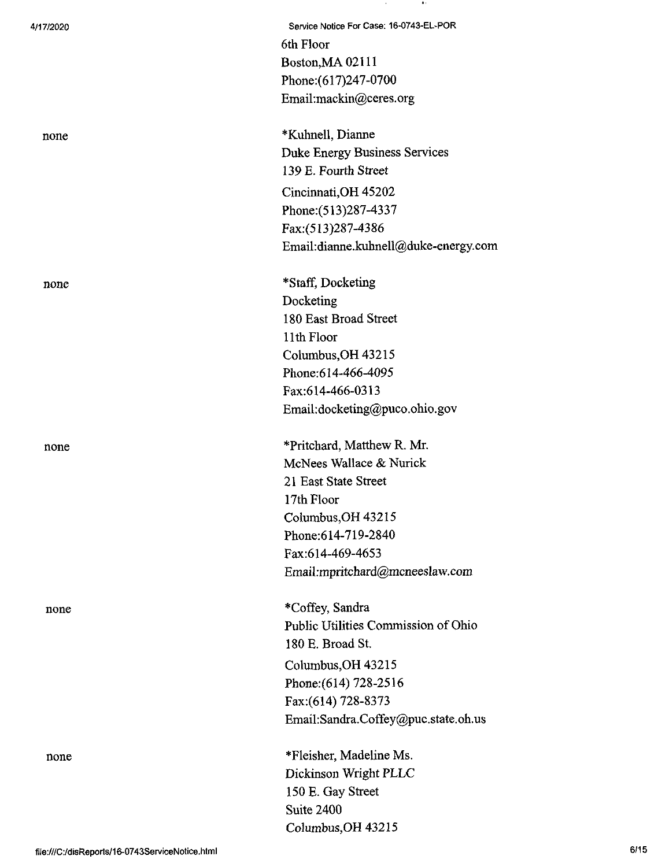| 4/17/2020 | Service Notice For Case: 16-0743-EL-POR |
|-----------|-----------------------------------------|
|           | 6th Floor                               |
|           | Boston, MA 02111                        |
|           | Phone: (617) 247-0700                   |
|           | Email:mackin@ceres.org                  |
| none      | *Kuhnell, Dianne                        |
|           | <b>Duke Energy Business Services</b>    |
|           | 139 E. Fourth Street                    |
|           | Cincinnati, OH 45202                    |
|           | Phone: (513) 287-4337                   |
|           | Fax:(513)287-4386                       |
|           | Email:dianne.kuhnell@duke-energy.com    |
| none      | *Staff, Docketing                       |
|           | Docketing                               |
|           | 180 East Broad Street                   |
|           | 11th Floor                              |
|           | Columbus, OH 43215                      |
|           | Phone: 614-466-4095                     |
|           | Fax:614-466-0313                        |
|           | Email:docketing@puco.ohio.gov           |
| none      | *Pritchard, Matthew R. Mr.              |
|           | McNees Wallace & Nurick                 |
|           | 21 East State Street                    |
|           | 17th Floor                              |
|           | Columbus, OH 43215                      |
|           | Phone: 614-719-2840                     |
|           | Fax:614-469-4653                        |
|           | Email:mpritchard@mcneeslaw.com          |
| none      | *Coffey, Sandra                         |
|           | Public Utilities Commission of Ohio     |
|           | 180 E. Broad St.                        |
|           | Columbus, OH 43215                      |
|           | Phone: (614) 728-2516                   |
|           | Fax: (614) 728-8373                     |
|           | Email:Sandra.Coffey@puc.state.oh.us     |
| none      | *Fleisher, Madeline Ms.                 |
|           | Dickinson Wright PLLC                   |
|           | 150 E. Gay Street                       |
|           | Suite 2400                              |
|           | Columbus, OH 43215                      |

**Contract** 

**Contract**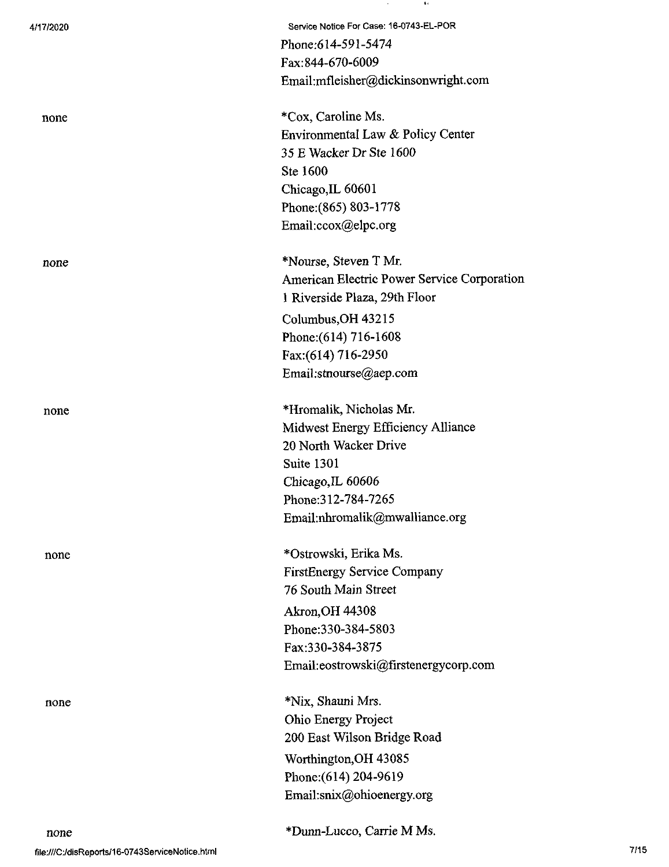| 4/17/2020 | Service Notice For Case: 16-0743-EL-POR     |
|-----------|---------------------------------------------|
|           | Phone: 614-591-5474                         |
|           | Fax:844-670-6009                            |
|           | Email:mfleisher@dickinsonwright.com         |
| none      | *Cox, Caroline Ms.                          |
|           | Environmental Law & Policy Center           |
|           | 35 E Wacker Dr Ste 1600                     |
|           | Ste 1600                                    |
|           | Chicago, IL 60601                           |
|           | Phone: (865) 803-1778                       |
|           | Email:ccox@elpc.org                         |
| none      | *Nourse, Steven T Mr.                       |
|           | American Electric Power Service Corporation |
|           | 1 Riverside Plaza, 29th Floor               |
|           | Columbus, OH 43215                          |
|           | Phone: (614) 716-1608                       |
|           | Fax: (614) 716-2950                         |
|           | Email:stnourse@aep.com                      |
| none      | *Hromalik, Nicholas Mr.                     |
|           | Midwest Energy Efficiency Alliance          |
|           | 20 North Wacker Drive                       |
|           | Suite 1301                                  |
|           | Chicago, IL 60606                           |
|           | Phone: 312-784-7265                         |
|           | Email:nhromalik@mwalliance.org              |
| none      | *Ostrowski, Erika Ms.                       |
|           | <b>FirstEnergy Service Company</b>          |
|           | 76 South Main Street                        |
|           | Akron, OH 44308                             |
|           | Phone: 330-384-5803                         |
|           | Fax:330-384-3875                            |
|           | Email:eostrowski@firstenergycorp.com        |
| none      | *Nix, Shauni Mrs.                           |
|           | Ohio Energy Project                         |
|           | 200 East Wilson Bridge Road                 |
|           | Worthington, OH 43085                       |
|           | Phone: (614) 204-9619                       |
|           | Email:snix@ohioenergy.org                   |
| none      | *Dunn-Lucco, Carrie M Ms.                   |

 $\sim 10^{-10}$ 

 $\sim$  100  $\pm$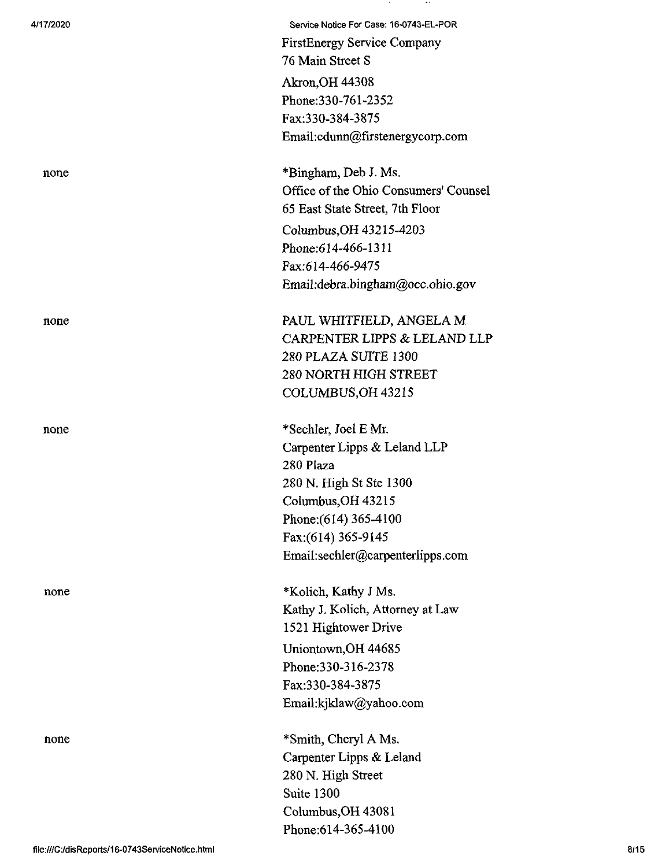| 4/17/2020 | Service Notice For Case: 16-0743-EL-POR       |
|-----------|-----------------------------------------------|
|           | <b>FirstEnergy Service Company</b>            |
|           | 76 Main Street S                              |
|           | <b>Akron, OH 44308</b>                        |
|           | Phone: 330-761-2352                           |
|           | Fax:330-384-3875                              |
|           | Email:cdunn@firstenergycorp.com               |
|           |                                               |
| none      | *Bingham, Deb J. Ms.                          |
|           | Office of the Ohio Consumers' Counsel         |
|           | 65 East State Street, 7th Floor               |
|           | Columbus, OH 43215-4203                       |
|           | Phone: 614-466-1311                           |
|           | Fax:614-466-9475                              |
|           | Email:debra.bingham@occ.ohio.gov              |
| none      | PAUL WHITFIELD, ANGELA M                      |
|           | CARPENTER LIPPS & LELAND LLP                  |
|           | 280 PLAZA SUITE 1300                          |
|           | <b>280 NORTH HIGH STREET</b>                  |
|           | COLUMBUS, OH 43215                            |
|           |                                               |
| none      | *Sechler, Joel E Mr.                          |
|           | Carpenter Lipps & Leland LLP                  |
|           | 280 Plaza                                     |
|           | 280 N. High St Ste 1300<br>Columbus, OH 43215 |
|           | Phone: (614) 365-4100                         |
|           | Fax:(614) 365-9145                            |
|           | Email:sechler@carpenterlipps.com              |
|           |                                               |
| none      | *Kolich, Kathy J Ms.                          |
|           | Kathy J. Kolich, Attorney at Law              |
|           | 1521 Hightower Drive                          |
|           | Uniontown, OH 44685                           |
|           | Phone: 330-316-2378                           |
|           | Fax:330-384-3875                              |
|           | Email:kjklaw@yahoo.com                        |
| none      | *Smith, Cheryl A Ms.                          |
|           | Carpenter Lipps & Leland                      |
|           | 280 N. High Street                            |
|           | Suite 1300                                    |
|           | Columbus, OH 43081                            |
|           | Phone: 614-365-4100                           |
|           |                                               |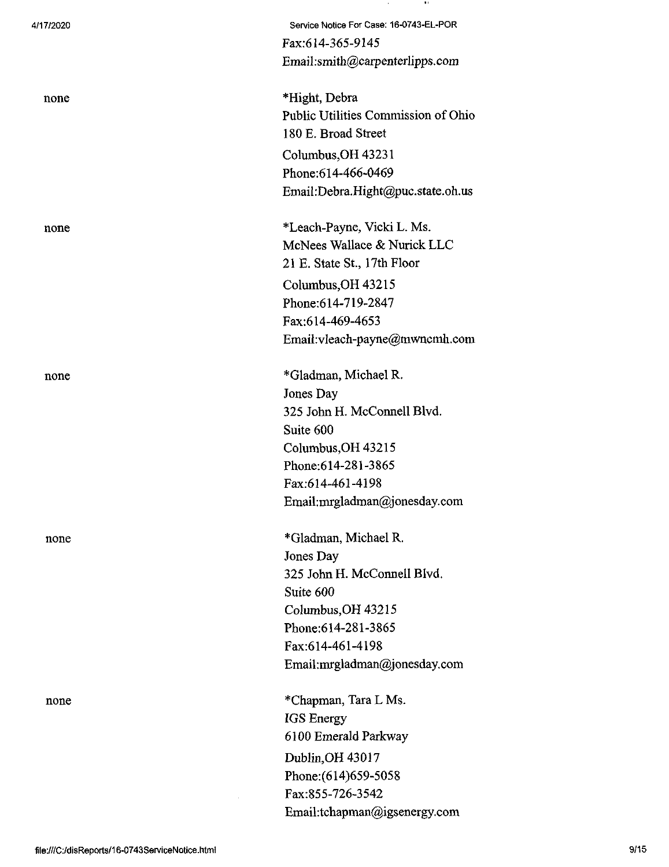| 4/17/2020 | Service Notice For Case: 16-0743-EL-POR |
|-----------|-----------------------------------------|
|           | Fax:614-365-9145                        |
|           | Email:smith@carpenterlipps.com          |
| none      | *Hight, Debra                           |
|           | Public Utilities Commission of Ohio     |
|           | 180 E. Broad Street                     |
|           | Columbus, OH 43231                      |
|           | Phone: 614-466-0469                     |
|           | Email:Debra.Hight@puc.state.oh.us       |
| none      | *Leach-Payne, Vicki L. Ms.              |
|           | McNees Wallace & Nurick LLC             |
|           | 21 E. State St., 17th Floor             |
|           | Columbus, OH 43215                      |
|           | Phone: 614-719-2847                     |
|           | Fax:614-469-4653                        |
|           | Email:vleach-payne@mwncmh.com           |
| none      | *Gladman, Michael R.                    |
|           | Jones Day                               |
|           | 325 John H. McConnell Blvd.             |
|           | Suite 600                               |
|           | Columbus, OH 43215                      |
|           | Phone: 614-281-3865                     |
|           | Fax:614-461-4198                        |
|           | Email:mrgladman@jonesday.com            |
| none      | *Gladman, Michael R.                    |
|           | Jones Day                               |
|           | 325 John H. McConnell Blvd.             |
|           | Suite 600                               |
|           | Columbus, OH 43215                      |
|           | Phone: 614-281-3865                     |
|           | Fax:614-461-4198                        |
|           | Email:mrgladman@jonesday.com            |
| none      | *Chapman, Tara L Ms.                    |
|           | IGS Energy                              |
|           | 6100 Emerald Parkway                    |
|           | Dublin, OH 43017                        |
|           | Phone: (614) 659-5058                   |
|           | Fax:855-726-3542                        |
|           | Email:tchapman@igsenergy.com            |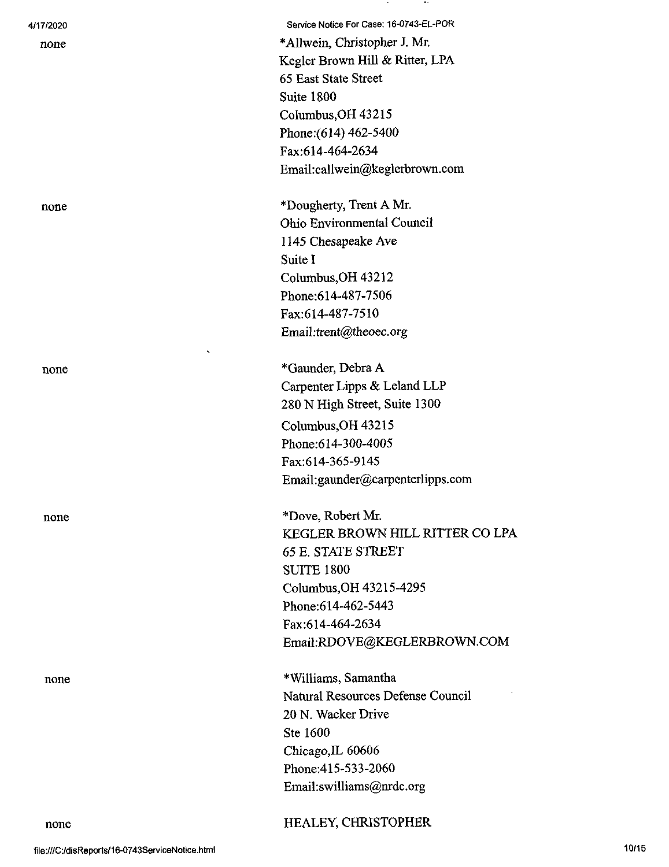| 4/17/2020 | Service Notice For Case: 16-0743-EL-POR |
|-----------|-----------------------------------------|
| none      | *Allwein, Christopher J. Mr.            |
|           | Kegler Brown Hill & Ritter, LPA         |
|           | 65 East State Street                    |
|           | Suite 1800                              |
|           | Columbus, OH 43215                      |
|           | Phone: (614) 462-5400                   |
|           | Fax:614-464-2634                        |
|           | Email:callwein@keglerbrown.com          |
| none      | *Dougherty, Trent A Mr.                 |
|           | <b>Ohio Environmental Council</b>       |
|           | 1145 Chesapeake Ave                     |
|           | Suite I                                 |
|           | Columbus, OH 43212                      |
|           | Phone: 614-487-7506                     |
|           | Fax:614-487-7510                        |
|           | Email:trent@theoec.org                  |
| none      | *Gaunder, Debra A                       |
|           | Carpenter Lipps & Leland LLP            |
|           | 280 N High Street, Suite 1300           |
|           | Columbus, OH 43215                      |
|           | Phone:614-300-4005                      |
|           | Fax:614-365-9145                        |
|           | Email:gaunder@carpenterlipps.com        |
| none      | *Dove, Robert Mr.                       |
|           | KEGLER BROWN HILL RITTER CO LPA         |
|           | <b>65 E. STATE STREET</b>               |
|           | <b>SUITE 1800</b>                       |
|           | Columbus, OH 43215-4295                 |
|           | Phone: 614-462-5443                     |
|           | Fax:614-464-2634                        |
|           | Email:RDOVE@KEGLERBROWN.COM             |
| none      | *Williams, Samantha                     |
|           | Natural Resources Defense Council       |
|           | 20 N. Wacker Drive                      |
|           | Ste 1600                                |
|           | Chicago, IL 60606                       |
|           | Phone: 415-533-2060                     |
|           | Email:swilliams@nrdc.org                |
| none      | HEALEY, CHRISTOPHER                     |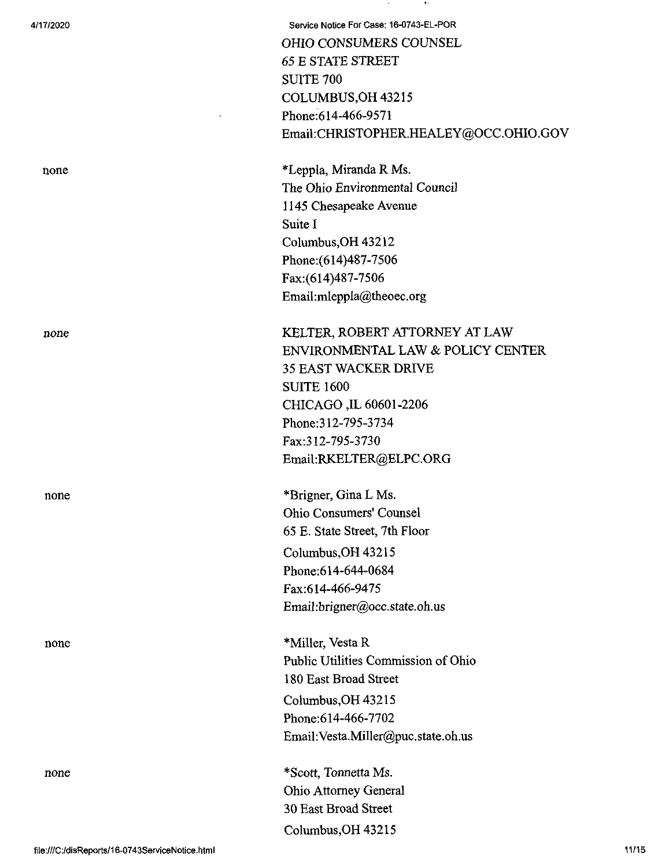4/17/2020 Service Notice For Case: 16-0743-EL-POR OHIO CONSUMERS COUNSEL 65 E STATE STREET SUITE 700 COLUMBUS,OH 43215 Phone:614-466-9571 Email:CHRISTOPHER.HEALEY@OCC.OHIO.GOV

none \*Leppla, Miranda R Ms. The Ohio Environmental Council 1145 Chesapeake Avenue Suite I Columbus,OH 43212 Phone:(614)487-7506 Fax:(614)487-7506 Email:mleppla@theoec.org

none **KELTER, ROBERT ATTORNEY AT LAW** ENVIRONMENTAL LAW & POLICY CENTER 35 EAST WACKER DRIVE SUITE 1600 CHICAGO ,IL 60601-2206 Phone:312-795-3734 Fax:312-795-3730 Email:RKELTER@ELPC.ORG

none \*Brigner, Gina L Ms. Ohio Consumers' Counsel 65 E. State Street, 7th Floor Columbus,OH 43215 Phone:614-644-0684 Fax:614-466-9475 Email:brigner@occ.state.oh.us

none \*Miller, Vesta R Public Utilities Commission of Ohio 180 East Broad Street Columbus,OH 43215 Phone:614-466-7702 Email:Vesta.MilIer@puc.state.oh.us

none \*Scott, Tonnetta Ms. Ohio Attorney General 30 East Broad Street Columbus,OH 43215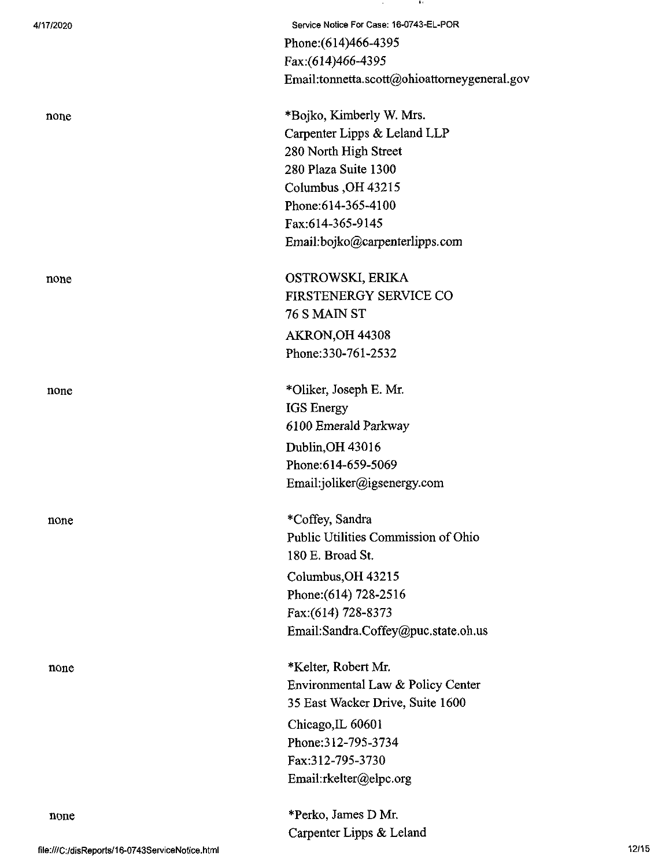| 4/17/2020 | Service Notice For Case: 16-0743-EL-POR      |
|-----------|----------------------------------------------|
|           | Phone: (614)466-4395                         |
|           | Fax:(614)466-4395                            |
|           | Email:tonnetta.scott@ohioattorneygeneral.gov |
| none      | *Bojko, Kimberly W. Mrs.                     |
|           | Carpenter Lipps & Leland LLP                 |
|           | 280 North High Street                        |
|           | 280 Plaza Suite 1300                         |
|           | Columbus, OH 43215                           |
|           | Phone: 614-365-4100                          |
|           | Fax:614-365-9145                             |
|           | Email:bojko@carpenterlipps.com               |
| none      | OSTROWSKI, ERIKA                             |
|           | <b>FIRSTENERGY SERVICE CO</b>                |
|           | <b>76 S MAIN ST</b>                          |
|           | AKRON, OH 44308                              |
|           | Phone: 330-761-2532                          |
| none      | *Oliker, Joseph E. Mr.                       |
|           | <b>IGS</b> Energy                            |
|           | 6100 Emerald Parkway                         |
|           | Dublin, OH 43016                             |
|           | Phone:614-659-5069                           |
|           | Email:joliker@igsenergy.com                  |
| none      | *Coffey, Sandra                              |
|           | Public Utilities Commission of Ohio          |
|           | 180 E. Broad St.                             |
|           | Columbus, OH 43215                           |
|           | Phone: (614) 728-2516                        |
|           | Fax:(614) 728-8373                           |
|           | Email:Sandra.Coffey@puc.state.oh.us          |
| none      | *Kelter, Robert Mr.                          |
|           | Environmental Law & Policy Center            |
|           | 35 East Wacker Drive, Suite 1600             |
|           | Chicago, IL 60601                            |
|           | Phone: 312-795-3734                          |
|           | Fax:312-795-3730                             |
|           | Email:rkelter@elpc.org                       |
| none      | *Perko, James D Mr.                          |
|           | Carpenter Lipps & Leland                     |

 $\sim 10^{-1}$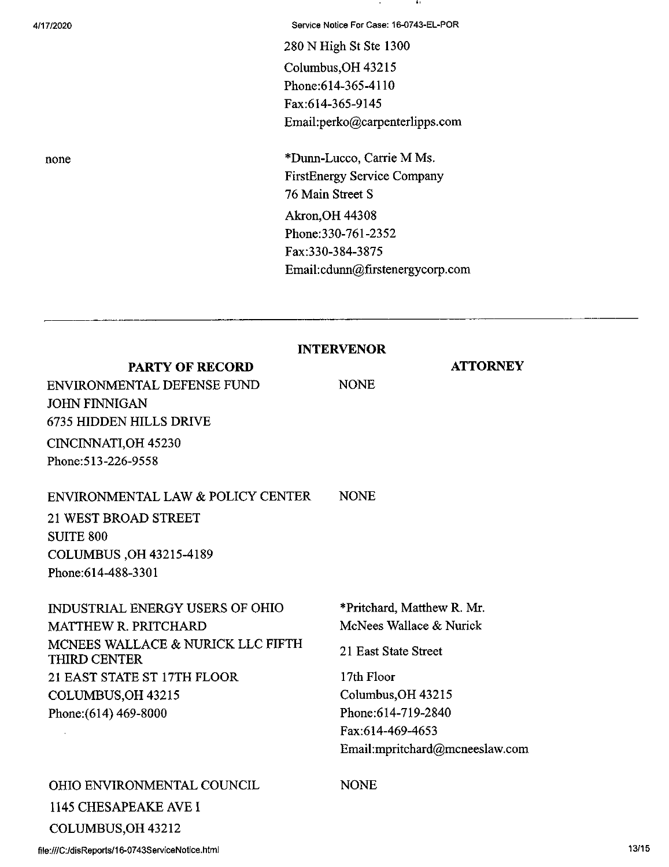4/17/2020 Service Notice For Case: 16-0743-EL-POR

-41

280 N High St Ste 1300 Columbus,OH 43215 Phone:614-365-4110 Fax:614-365-9145 Email:perko@carpenterlipps.com

none \*Dunn-Lucco, Carrie M Ms. FirstEnergy Service Company 76 Main Street S Akron,OH 44308 Phone:330-761-2352 Fax:330-384-3875 Email:cdunn@firstenergycorp.com

|                                                   | <b>INTERVENOR</b>              |
|---------------------------------------------------|--------------------------------|
| <b>PARTY OF RECORD</b>                            | <b>ATTORNEY</b>                |
| ENVIRONMENTAL DEFENSE FUND                        | <b>NONE</b>                    |
| <b>JOHN FINNIGAN</b>                              |                                |
| 6735 HIDDEN HILLS DRIVE                           |                                |
| CINCINNATI, OH 45230                              |                                |
| Phone: 513-226-9558                               |                                |
| ENVIRONMENTAL LAW & POLICY CENTER                 | <b>NONE</b>                    |
| 21 WEST BROAD STREET                              |                                |
| <b>SUITE 800</b>                                  |                                |
| COLUMBUS, OH 43215-4189                           |                                |
| Phone: 614-488-3301                               |                                |
| <b>INDUSTRIAL ENERGY USERS OF OHIO</b>            | *Pritchard, Matthew R. Mr.     |
| <b>MATTHEW R. PRITCHARD</b>                       | McNees Wallace & Nurick        |
| MCNEES WALLACE & NURICK LLC FIFTH<br>THIRD CENTER | 21 East State Street           |
| 21 EAST STATE ST 17TH FLOOR                       | 17th Floor                     |
| COLUMBUS, OH 43215                                | Columbus, OH 43215             |
| Phone: (614) 469-8000                             | Phone: 614-719-2840            |
|                                                   | Fax:614-469-4653               |
|                                                   | Email:mpritchard@mcneeslaw.com |
| OHIO ENVIRONMENTAL COUNCIL                        | <b>NONE</b>                    |
| 1145 CHESAPEAKE AVE I                             |                                |
| COLUMBUS, OH 43212                                |                                |